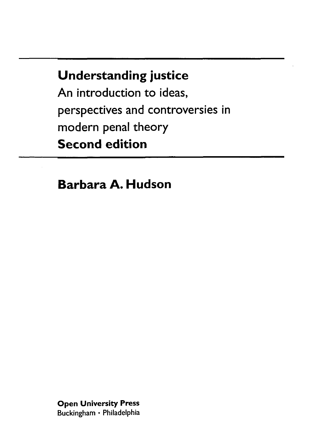## **Understanding justice**

An introduction to ideas, perspectives and controversies in modern penal theory **Second edition**

**Barbara A. Hudson**

**Open University Press** Buckingham • Philadelphia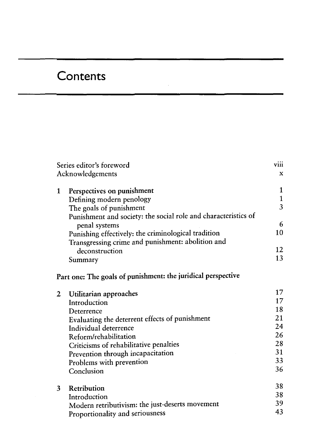## **Contents**

| Series editor's foreword<br>Acknowledgements |                                                                | viii<br>$\mathbf x$ |
|----------------------------------------------|----------------------------------------------------------------|---------------------|
|                                              |                                                                |                     |
| 1                                            | Perspectives on punishment                                     | 1                   |
|                                              | Defining modern penology                                       | $\mathbf 1$         |
|                                              | The goals of punishment                                        | $\overline{3}$      |
|                                              | Punishment and society: the social role and characteristics of |                     |
|                                              | penal systems                                                  | 6                   |
|                                              | Punishing effectively: the criminological tradition            | 10                  |
|                                              | Transgressing crime and punishment: abolition and              |                     |
|                                              | deconstruction                                                 | 12                  |
|                                              | Summary                                                        | 13                  |
|                                              | Part one: The goals of punishment: the juridical perspective   |                     |
| $\mathbf{2}$                                 | Utilitarian approaches                                         | 17                  |
|                                              | Introduction                                                   | 17                  |
|                                              | Deterrence                                                     | 18                  |
|                                              | Evaluating the deterrent effects of punishment                 | 21                  |
|                                              | Individual deterrence                                          | 24                  |
|                                              | Reform/rehabilitation                                          | 26                  |
|                                              | Criticisms of rehabilitative penalties                         | 28                  |
|                                              | Prevention through incapacitation                              | 31                  |
|                                              | Problems with prevention                                       | 33                  |
|                                              | Conclusion                                                     | 36                  |
| 3                                            | Retribution                                                    | 38                  |
|                                              | Introduction                                                   | 38                  |
|                                              | Modern retributivism: the just-deserts movement                | 39                  |
|                                              | Proportionality and seriousness                                | 43                  |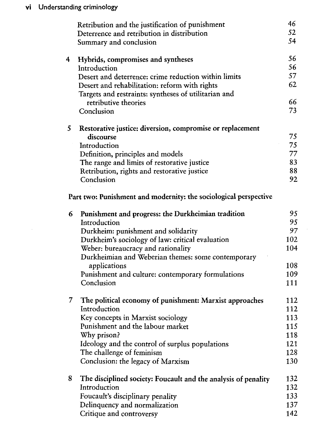|   | Retribution and the justification of punishment                  | 46  |
|---|------------------------------------------------------------------|-----|
|   | Deterrence and retribution in distribution                       | 52  |
|   | Summary and conclusion                                           | 54  |
| 4 | Hybrids, compromises and syntheses                               | 56  |
|   | Introduction                                                     | 56  |
|   | Desert and deterrence: crime reduction within limits             | 57  |
|   | Desert and rehabilitation: reform with rights                    | 62  |
|   | Targets and restraints: syntheses of utilitarian and             |     |
|   | retributive theories                                             | 66  |
|   | Conclusion                                                       | 73  |
| 5 | Restorative justice: diversion, compromise or replacement        |     |
|   | discourse                                                        | 75  |
|   | Introduction                                                     | 75  |
|   | Definition, principles and models                                | 77  |
|   | The range and limits of restorative justice                      | 83  |
|   | Retribution, rights and restorative justice                      | 88  |
|   | Conclusion                                                       | 92  |
|   | Part two: Punishment and modernity: the sociological perspective |     |
| 6 | Punishment and progress: the Durkheimian tradition               | 95  |
|   | Introduction                                                     | 95  |
|   | Durkheim: punishment and solidarity                              | 97  |
|   | Durkheim's sociology of law: critical evaluation                 | 102 |
|   | Weber: bureaucracy and rationality                               | 104 |
|   | Durkheimian and Weberian themes: some contemporary               |     |
|   | applications                                                     | 108 |
|   | Punishment and culture: contemporary formulations                | 109 |
|   | Conclusion                                                       | 111 |
| 7 | The political economy of punishment: Marxist approaches          | 112 |
|   | Introduction                                                     | 112 |
|   | Key concepts in Marxist sociology                                | 113 |
|   | Punishment and the labour market                                 | 115 |
|   | Why prison?                                                      | 118 |
|   | Ideology and the control of surplus populations                  | 121 |
|   | The challenge of feminism                                        | 128 |
|   | Conclusion: the legacy of Marxism                                | 130 |
| 8 | The disciplined society: Foucault and the analysis of penality   | 132 |
|   | Introduction                                                     | 132 |
|   | Foucault's disciplinary penality                                 | 133 |
|   | Delinquency and normalization                                    | 137 |
|   | Critique and controversy                                         | 142 |
|   |                                                                  |     |